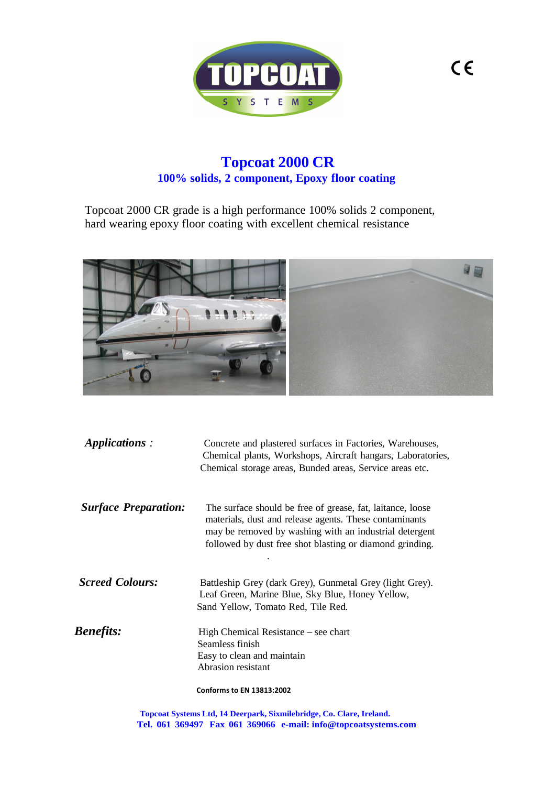

# **Topcoat 2000 CR 100% solids, 2 component, Epoxy floor coating**

Topcoat 2000 CR grade is a high performance 100% solids 2 component, hard wearing epoxy floor coating with excellent chemical resistance



| Applications:               | Concrete and plastered surfaces in Factories, Warehouses,<br>Chemical plants, Workshops, Aircraft hangars, Laboratories,<br>Chemical storage areas, Bunded areas, Service areas etc.                                                       |
|-----------------------------|--------------------------------------------------------------------------------------------------------------------------------------------------------------------------------------------------------------------------------------------|
| <b>Surface Preparation:</b> | The surface should be free of grease, fat, laitance, loose<br>materials, dust and release agents. These contaminants<br>may be removed by washing with an industrial detergent<br>followed by dust free shot blasting or diamond grinding. |
| <b>Screed Colours:</b>      | Battleship Grey (dark Grey), Gunmetal Grey (light Grey).<br>Leaf Green, Marine Blue, Sky Blue, Honey Yellow,<br>Sand Yellow, Tomato Red, Tile Red.                                                                                         |
| <b>Benefits:</b>            | High Chemical Resistance – see chart<br>Seamless finish<br>Easy to clean and maintain<br>Abrasion resistant                                                                                                                                |
|                             | <b>Conforms to EN 13813:2002</b>                                                                                                                                                                                                           |

**Topcoat Systems Ltd, 14 Deerpark, Sixmilebridge, Co. Clare, Ireland. Tel. 061 369497 Fax 061 369066 e-mail: info@topcoatsystems.com**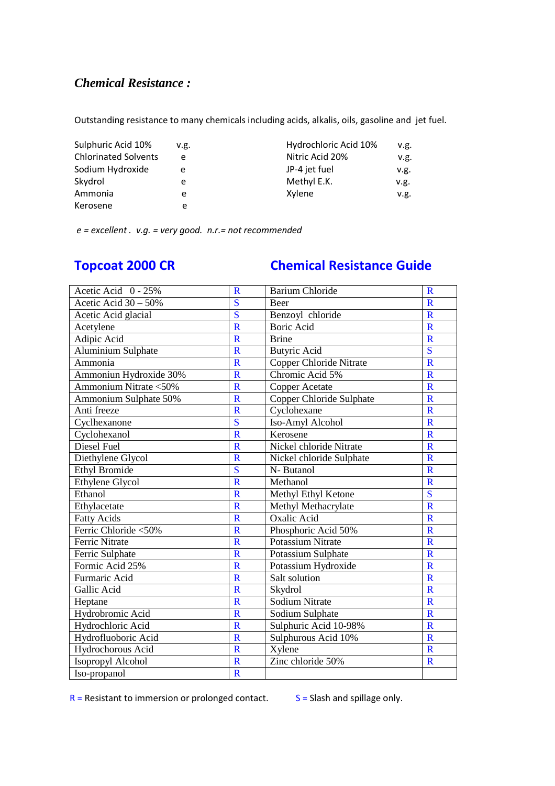## *Chemical Resistance :*

Outstanding resistance to many chemicals including acids, alkalis, oils, gasoline and jet fuel.

| Sulphuric Acid 10%          | v.g. | Hydrochloric Acid 10% | v.g. |
|-----------------------------|------|-----------------------|------|
| <b>Chlorinated Solvents</b> | e    | Nitric Acid 20%       | v.g. |
| Sodium Hydroxide            | e    | JP-4 jet fuel         | v.g. |
| Skydrol                     | e    | Methyl E.K.           | v.g. |
| Ammonia                     | e    | Xylene                | v.g. |
| Kerosene                    | e    |                       |      |

 *e = excellent . v.g. = very good. n.r.= not recommended*

# **Topcoat 2000 CR Chemical Resistance Guide**

| Acetic Acid 0 - 25%     | $\mathbf R$             | <b>Barium Chloride</b>         | $\mathbf R$             |
|-------------------------|-------------------------|--------------------------------|-------------------------|
| Acetic Acid $30 - 50\%$ | S                       | Beer                           | $\mathbf R$             |
| Acetic Acid glacial     | $\overline{\mathbf{S}}$ | Benzoyl chloride               | $\mathbf R$             |
| Acetylene               | $\overline{\mathbf{R}}$ | Boric Acid                     | R                       |
| Adipic Acid             | $\overline{\mathbf{R}}$ | <b>Brine</b>                   | $\mathbf R$             |
| Aluminium Sulphate      | $\overline{\mathsf{R}}$ | <b>Butyric Acid</b>            | S                       |
| Ammonia                 | $\overline{\mathsf{R}}$ | <b>Copper Chloride Nitrate</b> | $\overline{\mathbf{R}}$ |
| Ammoniun Hydroxide 30%  | $\overline{\mathsf{R}}$ | Chromic Acid 5%                | $\mathbf R$             |
| Ammonium Nitrate <50%   | $\overline{\mathsf{R}}$ | Copper Acetate                 | $\mathbf R$             |
| Ammonium Sulphate 50%   | $\overline{\mathsf{R}}$ | Copper Chloride Sulphate       | $\mathbf R$             |
| Anti freeze             | $\overline{\mathsf{R}}$ | Cyclohexane                    | $\mathbf R$             |
| Cyclhexanone            | $\overline{\mathbf{S}}$ | Iso-Amyl Alcohol               | $\mathbf R$             |
| Cyclohexanol            | $\overline{\mathsf{R}}$ | Kerosene                       | $\mathbf R$             |
| Diesel Fuel             | $\mathbf R$             | Nickel chloride Nitrate        | $\mathbf R$             |
| Diethylene Glycol       | $\overline{\mathsf{R}}$ | Nickel chloride Sulphate       | $\mathbf R$             |
| <b>Ethyl Bromide</b>    | $\overline{\mathbf{S}}$ | N- Butanol                     | $\mathbf R$             |
| Ethylene Glycol         | $\overline{\mathsf{R}}$ | Methanol                       | $\mathbf R$             |
| Ethanol                 | $\overline{\mathsf{R}}$ | Methyl Ethyl Ketone            | S                       |
| Ethylacetate            | $\mathbf R$             | Methyl Methacrylate            | $\mathbf R$             |
| <b>Fatty Acids</b>      | $\overline{\mathsf{R}}$ | <b>Oxalic Acid</b>             | $\mathbf R$             |
| Ferric Chloride <50%    | $\overline{\mathbf{R}}$ | Phosphoric Acid 50%            | $\mathbf{R}$            |
| <b>Ferric Nitrate</b>   | $\overline{\mathbf{R}}$ | <b>Potassium Nitrate</b>       | $\mathbf R$             |
| Ferric Sulphate         | $\overline{\mathbf{R}}$ | Potassium Sulphate             | $\mathbf R$             |
| Formic Acid 25%         | $\overline{\mathbf{R}}$ | Potassium Hydroxide            | $\mathbf R$             |
| Furmaric Acid           | $\overline{\mathsf{R}}$ | Salt solution                  | $\mathbf R$             |
| Gallic Acid             | $\overline{\mathsf{R}}$ | Skydrol                        | $\mathbf R$             |
| Heptane                 | $\overline{\mathsf{R}}$ | Sodium Nitrate                 | $\mathbf R$             |
| Hydrobromic Acid        | $\overline{\mathsf{R}}$ | Sodium Sulphate                | $\mathbf R$             |
| Hydrochloric Acid       | $\overline{\mathsf{R}}$ | Sulphuric Acid 10-98%          | $\mathbf R$             |
| Hydrofluoboric Acid     | $\overline{\mathsf{R}}$ | Sulphurous Acid 10%            | $\mathbf R$             |
| Hydrochorous Acid       | $\mathbf R$             | Xylene                         | $\mathbf R$             |
| Isopropyl Alcohol       | $\overline{\mathsf{R}}$ | Zinc chloride 50%              | $\mathbf R$             |
| Iso-propanol            | $\mathbf R$             |                                |                         |

 $R$  = Resistant to immersion or prolonged contact.  $S$  = Slash and spillage only.